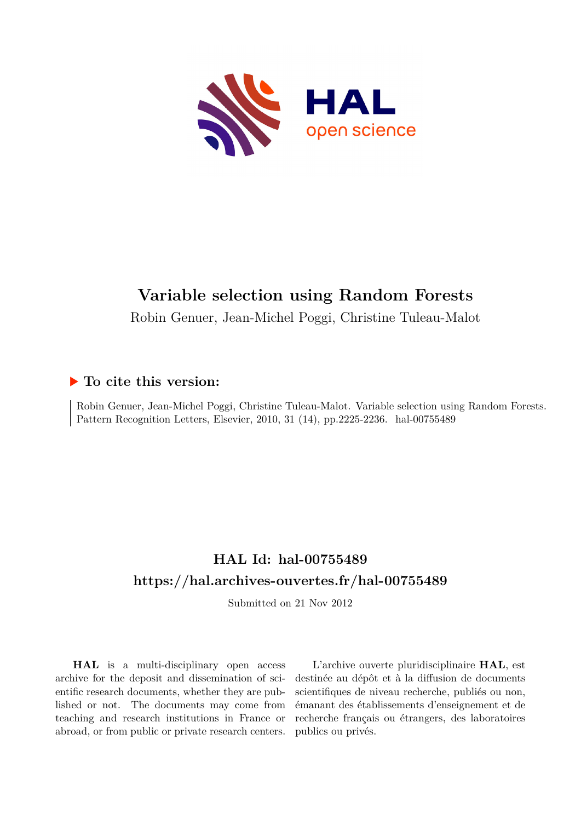

# **Variable selection using Random Forests**

Robin Genuer, Jean-Michel Poggi, Christine Tuleau-Malot

# **To cite this version:**

Robin Genuer, Jean-Michel Poggi, Christine Tuleau-Malot. Variable selection using Random Forests. Pattern Recognition Letters, Elsevier, 2010, 31 (14), pp.2225-2236. hal-00755489

# **HAL Id: hal-00755489 <https://hal.archives-ouvertes.fr/hal-00755489>**

Submitted on 21 Nov 2012

**HAL** is a multi-disciplinary open access archive for the deposit and dissemination of scientific research documents, whether they are published or not. The documents may come from teaching and research institutions in France or abroad, or from public or private research centers.

L'archive ouverte pluridisciplinaire **HAL**, est destinée au dépôt et à la diffusion de documents scientifiques de niveau recherche, publiés ou non, émanant des établissements d'enseignement et de recherche français ou étrangers, des laboratoires publics ou privés.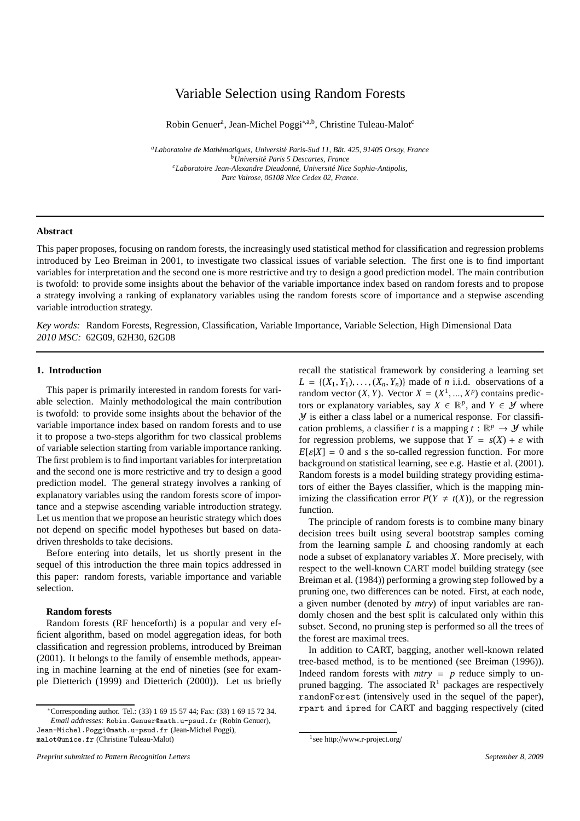# Variable Selection using Random Forests

Robin Genuer<sup>a</sup>, Jean-Michel Poggi<sup>\*,a,b</sup>, Christine Tuleau-Malot<sup>c</sup>

<sup>a</sup>Laboratoire de Mathématiques, Université Paris-Sud 11, Bât. 425, 91405 Orsay, France *<sup>b</sup>Universit´e Paris 5 Descartes, France <sup>c</sup>Laboratoire Jean-Alexandre Dieudonn´e, Universit´e Nice Sophia-Antipolis, Parc Valrose, 06108 Nice Cedex 02, France.*

# **Abstract**

This paper proposes, focusing on random forests, the increasingly used statistical method for classification and regression problems introduced by Leo Breiman in 2001, to investigate two classical issues of variable selection. The first one is to find important variables for interpretation and the second one is more restrictive and try to design a good prediction model. The main contribution is twofold: to provide some insights about the behavior of the variable importance index based on random forests and to propose a strategy involving a ranking of explanatory variables using the random forests score of importance and a stepwise ascending variable introduction strategy.

*Key words:* Random Forests, Regression, Classification, Variable Importance, Variable Selection, High Dimensional Data *2010 MSC:* 62G09, 62H30, 62G08

# **1. Introduction**

This paper is primarily interested in random forests for variable selection. Mainly methodological the main contribution is twofold: to provide some insights about the behavior of the variable importance index based on random forests and to use it to propose a two-steps algorithm for two classical problems of variable selection starting from variable importance ranking. The first problem is to find important variables for interpretation and the second one is more restrictive and try to design a good prediction model. The general strategy involves a ranking of explanatory variables using the random forests score of importance and a stepwise ascending variable introduction strategy. Let us mention that we propose an heuristic strategy which does not depend on specific model hypotheses but based on datadriven thresholds to take decisions.

Before entering into details, let us shortly present in the sequel of this introduction the three main topics addressed in this paper: random forests, variable importance and variable selection.

# **Random forests**

Random forests (RF henceforth) is a popular and very efficient algorithm, based on model aggregation ideas, for both classification and regression problems, introduced by Breiman (2001). It belongs to the family of ensemble methods, appearing in machine learning at the end of nineties (see for example Dietterich (1999) and Dietterich (2000)). Let us briefly recall the statistical framework by considering a learning set  $L = \{(X_1, Y_1), \ldots, (X_n, Y_n)\}\$ made of *n* i.i.d. observations of a random vector  $(X, Y)$ . Vector  $X = (X^1, ..., X^p)$  contains predictors or explanatory variables, say  $X \in \mathbb{R}^p$ , and  $Y \in \mathcal{Y}$  where  *is either a class label or a numerical response. For classifi*cation problems, a classifier *t* is a mapping  $t : \mathbb{R}^p \to \mathcal{Y}$  while for regression problems, we suppose that  $Y = s(X) + \varepsilon$  with  $E[\varepsilon|X] = 0$  and *s* the so-called regression function. For more background on statistical learning, see e.g. Hastie et al. (2001). Random forests is a model building strategy providing estimators of either the Bayes classifier, which is the mapping minimizing the classification error  $P(Y \neq t(X))$ , or the regression function.

The principle of random forests is to combine many binary decision trees built using several bootstrap samples coming from the learning sample *L* and choosing randomly at each node a subset of explanatory variables *X*. More precisely, with respect to the well-known CART model building strategy (see Breiman et al. (1984)) performing a growing step followed by a pruning one, two differences can be noted. First, at each node, a given number (denoted by *mtry*) of input variables are randomly chosen and the best split is calculated only within this subset. Second, no pruning step is performed so all the trees of the forest are maximal trees.

In addition to CART, bagging, another well-known related tree-based method, is to be mentioned (see Breiman (1996)). Indeed random forests with  $mtry = p$  reduce simply to unpruned bagging. The associated  $R<sup>1</sup>$  packages are respectively randomForest (intensively used in the sequel of the paper), rpart and ipred for CART and bagging respectively (cited

<sup>∗</sup>Corresponding author. Tel.: (33) 1 69 15 57 44; Fax: (33) 1 69 15 72 34. *Email addresses:* Robin.Genuer@math.u-psud.fr (Robin Genuer),

Jean-Michel.Poggi@math.u-psud.fr (Jean-Michel Poggi), malot@unice.fr (Christine Tuleau-Malot)

<sup>1</sup> see http://www.r-project.org/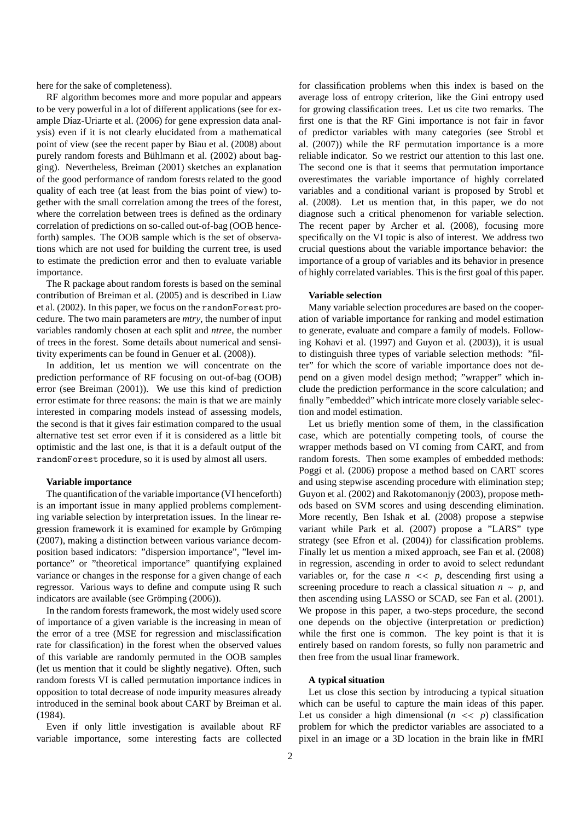here for the sake of completeness).

RF algorithm becomes more and more popular and appears to be very powerful in a lot of different applications (see for example Díaz-Uriarte et al. (2006) for gene expression data analysis) even if it is not clearly elucidated from a mathematical point of view (see the recent paper by Biau et al. (2008) about purely random forests and Bühlmann et al. (2002) about bagging). Nevertheless, Breiman (2001) sketches an explanation of the good performance of random forests related to the good quality of each tree (at least from the bias point of view) together with the small correlation among the trees of the forest, where the correlation between trees is defined as the ordinary correlation of predictions on so-called out-of-bag (OOB henceforth) samples. The OOB sample which is the set of observations which are not used for building the current tree, is used to estimate the prediction error and then to evaluate variable importance.

The R package about random forests is based on the seminal contribution of Breiman et al. (2005) and is described in Liaw et al. (2002). In this paper, we focus on the randomForest procedure. The two main parameters are *mtry*, the number of input variables randomly chosen at each split and *ntree*, the number of trees in the forest. Some details about numerical and sensitivity experiments can be found in Genuer et al. (2008)).

In addition, let us mention we will concentrate on the prediction performance of RF focusing on out-of-bag (OOB) error (see Breiman (2001)). We use this kind of prediction error estimate for three reasons: the main is that we are mainly interested in comparing models instead of assessing models, the second is that it gives fair estimation compared to the usual alternative test set error even if it is considered as a little bit optimistic and the last one, is that it is a default output of the randomForest procedure, so it is used by almost all users.

#### **Variable importance**

The quantification of the variable importance (VI henceforth) is an important issue in many applied problems complementing variable selection by interpretation issues. In the linear regression framework it is examined for example by Grömping (2007), making a distinction between various variance decomposition based indicators: "dispersion importance", "level importance" or "theoretical importance" quantifying explained variance or changes in the response for a given change of each regressor. Various ways to define and compute using R such indicators are available (see Grömping (2006)).

In the random forests framework, the most widely used score of importance of a given variable is the increasing in mean of the error of a tree (MSE for regression and misclassification rate for classification) in the forest when the observed values of this variable are randomly permuted in the OOB samples (let us mention that it could be slightly negative). Often, such random forests VI is called permutation importance indices in opposition to total decrease of node impurity measures already introduced in the seminal book about CART by Breiman et al. (1984).

Even if only little investigation is available about RF variable importance, some interesting facts are collected for classification problems when this index is based on the average loss of entropy criterion, like the Gini entropy used for growing classification trees. Let us cite two remarks. The first one is that the RF Gini importance is not fair in favor of predictor variables with many categories (see Strobl et al. (2007)) while the RF permutation importance is a more reliable indicator. So we restrict our attention to this last one. The second one is that it seems that permutation importance overestimates the variable importance of highly correlated variables and a conditional variant is proposed by Strobl et al. (2008). Let us mention that, in this paper, we do not diagnose such a critical phenomenon for variable selection. The recent paper by Archer et al. (2008), focusing more specifically on the VI topic is also of interest. We address two crucial questions about the variable importance behavior: the importance of a group of variables and its behavior in presence of highly correlated variables. This is the first goal of this paper.

### **Variable selection**

Many variable selection procedures are based on the cooperation of variable importance for ranking and model estimation to generate, evaluate and compare a family of models. Following Kohavi et al. (1997) and Guyon et al. (2003)), it is usual to distinguish three types of variable selection methods: "filter" for which the score of variable importance does not depend on a given model design method; "wrapper" which include the prediction performance in the score calculation; and finally "embedded" which intricate more closely variable selection and model estimation.

Let us briefly mention some of them, in the classification case, which are potentially competing tools, of course the wrapper methods based on VI coming from CART, and from random forests. Then some examples of embedded methods: Poggi et al. (2006) propose a method based on CART scores and using stepwise ascending procedure with elimination step; Guyon et al. (2002) and Rakotomanonjy (2003), propose methods based on SVM scores and using descending elimination. More recently, Ben Ishak et al. (2008) propose a stepwise variant while Park et al. (2007) propose a "LARS" type strategy (see Efron et al. (2004)) for classification problems. Finally let us mention a mixed approach, see Fan et al. (2008) in regression, ascending in order to avoid to select redundant variables or, for the case  $n \ll p$ , descending first using a screening procedure to reach a classical situation  $n \sim p$ , and then ascending using LASSO or SCAD, see Fan et al. (2001). We propose in this paper, a two-steps procedure, the second one depends on the objective (interpretation or prediction) while the first one is common. The key point is that it is entirely based on random forests, so fully non parametric and then free from the usual linar framework.

#### **A typical situation**

Let us close this section by introducing a typical situation which can be useful to capture the main ideas of this paper. Let us consider a high dimensional  $(n \ll p)$  classification problem for which the predictor variables are associated to a pixel in an image or a 3D location in the brain like in fMRI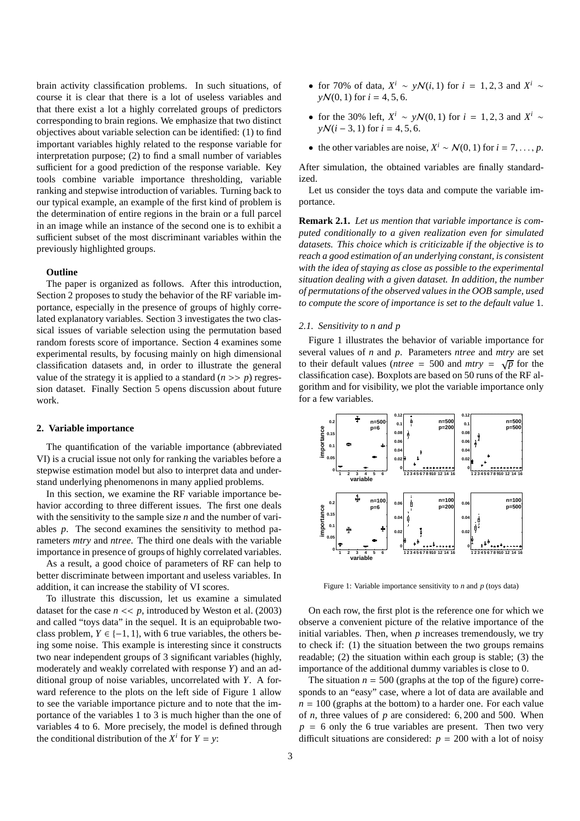brain activity classification problems. In such situations, of course it is clear that there is a lot of useless variables and that there exist a lot a highly correlated groups of predictors corresponding to brain regions. We emphasize that two distinct objectives about variable selection can be identified: (1) to find important variables highly related to the response variable for interpretation purpose; (2) to find a small number of variables sufficient for a good prediction of the response variable. Key tools combine variable importance thresholding, variable ranking and stepwise introduction of variables. Turning back to our typical example, an example of the first kind of problem is the determination of entire regions in the brain or a full parcel in an image while an instance of the second one is to exhibit a sufficient subset of the most discriminant variables within the previously highlighted groups.

# **Outline**

The paper is organized as follows. After this introduction, Section 2 proposes to study the behavior of the RF variable importance, especially in the presence of groups of highly correlated explanatory variables. Section 3 investigates the two classical issues of variable selection using the permutation based random forests score of importance. Section 4 examines some experimental results, by focusing mainly on high dimensional classification datasets and, in order to illustrate the general value of the strategy it is applied to a standard  $(n \gg p)$  regression dataset. Finally Section 5 opens discussion about future work.

#### **2. Variable importance**

The quantification of the variable importance (abbreviated VI) is a crucial issue not only for ranking the variables before a stepwise estimation model but also to interpret data and understand underlying phenomenons in many applied problems.

In this section, we examine the RF variable importance behavior according to three different issues. The first one deals with the sensitivity to the sample size *n* and the number of variables *p*. The second examines the sensitivity to method parameters *mtry* and *ntree*. The third one deals with the variable importance in presence of groups of highly correlated variables.

As a result, a good choice of parameters of RF can help to better discriminate between important and useless variables. In addition, it can increase the stability of VI scores.

To illustrate this discussion, let us examine a simulated dataset for the case  $n \ll p$ , introduced by Weston et al. (2003) and called "toys data" in the sequel. It is an equiprobable twoclass problem,  $Y \in \{-1, 1\}$ , with 6 true variables, the others being some noise. This example is interesting since it constructs two near independent groups of 3 significant variables (highly, moderately and weakly correlated with response *Y*) and an additional group of noise variables, uncorrelated with *Y*. A forward reference to the plots on the left side of Figure 1 allow to see the variable importance picture and to note that the importance of the variables 1 to 3 is much higher than the one of variables 4 to 6. More precisely, the model is defined through the conditional distribution of the  $X^i$  for  $Y = y$ :

- for 70% of data,  $X^i \sim y \mathcal{N}(i, 1)$  for  $i = 1, 2, 3$  and  $X^i \sim$  $\gamma\mathcal{N}(0, 1)$  for  $i = 4, 5, 6$ .
- for the 30% left,  $X^i \sim y\mathcal{N}(0, 1)$  for  $i = 1, 2, 3$  and  $X^i \sim$  $\gamma N(i - 3, 1)$  for  $i = 4, 5, 6$ .
- the other variables are noise,  $X^i \sim \mathcal{N}(0, 1)$  for  $i = 7, \ldots, p$ .

After simulation, the obtained variables are finally standardized.

Let us consider the toys data and compute the variable importance.

**Remark 2.1.** *Let us mention that variable importance is computed conditionally to a given realization even for simulated datasets. This choice which is criticizable if the objective is to reach a good estimation of an underlying constant, is consistent with the idea of staying as close as possible to the experimental situation dealing with a given dataset. In addition, the number of permutations of the observed values in the OOB sample, used to compute the score of importance is set to the default value* 1*.*

## *2.1. Sensitivity to n and p*

Figure 1 illustrates the behavior of variable importance for several values of *n* and *p*. Parameters *ntree* and *mtry* are set to their default values (*ntree* = 500 and *mtry* =  $\sqrt{p}$  for the classification case). Boxplots are based on 50 runs of the RF algorithm and for visibility, we plot the variable importance only for a few variables.



Figure 1: Variable importance sensitivity to *n* and *p* (toys data)

On each row, the first plot is the reference one for which we observe a convenient picture of the relative importance of the initial variables. Then, when *p* increases tremendously, we try to check if: (1) the situation between the two groups remains readable; (2) the situation within each group is stable; (3) the importance of the additional dummy variables is close to 0.

The situation  $n = 500$  (graphs at the top of the figure) corresponds to an "easy" case, where a lot of data are available and  $n = 100$  (graphs at the bottom) to a harder one. For each value of *n*, three values of *p* are considered: 6, 200 and 500. When  $p = 6$  only the 6 true variables are present. Then two very difficult situations are considered:  $p = 200$  with a lot of noisy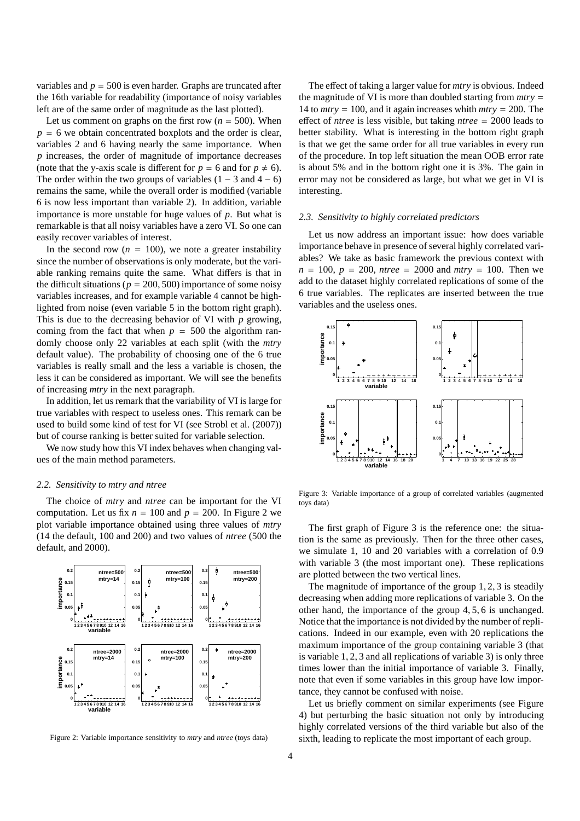variables and  $p = 500$  is even harder. Graphs are truncated after the 16th variable for readability (importance of noisy variables left are of the same order of magnitude as the last plotted).

Let us comment on graphs on the first row  $(n = 500)$ . When  $p = 6$  we obtain concentrated boxplots and the order is clear, variables 2 and 6 having nearly the same importance. When *p* increases, the order of magnitude of importance decreases (note that the y-axis scale is different for  $p = 6$  and for  $p \neq 6$ ). The order within the two groups of variables  $(1 – 3$  and  $4 – 6)$ remains the same, while the overall order is modified (variable 6 is now less important than variable 2). In addition, variable importance is more unstable for huge values of *p*. But what is remarkable is that all noisy variables have a zero VI. So one can easily recover variables of interest.

In the second row  $(n = 100)$ , we note a greater instability since the number of observations is only moderate, but the variable ranking remains quite the same. What differs is that in the difficult situations ( $p = 200, 500$ ) importance of some noisy variables increases, and for example variable 4 cannot be highlighted from noise (even variable 5 in the bottom right graph). This is due to the decreasing behavior of VI with *p* growing, coming from the fact that when  $p = 500$  the algorithm randomly choose only 22 variables at each split (with the *mtry* default value). The probability of choosing one of the 6 true variables is really small and the less a variable is chosen, the less it can be considered as important. We will see the benefits of increasing *mtry* in the next paragraph.

In addition, let us remark that the variability of VI is large for true variables with respect to useless ones. This remark can be used to build some kind of test for VI (see Strobl et al. (2007)) but of course ranking is better suited for variable selection.

We now study how this VI index behaves when changing values of the main method parameters.

#### *2.2. Sensitivity to mtry and ntree*

The choice of *mtry* and *ntree* can be important for the VI computation. Let us fix  $n = 100$  and  $p = 200$ . In Figure 2 we plot variable importance obtained using three values of *mtry* (14 the default, 100 and 200) and two values of *ntree* (500 the default, and 2000).



Figure 2: Variable importance sensitivity to *mtry* and *ntree* (toys data)

The effect of taking a larger value for *mtry* is obvious. Indeed the magnitude of VI is more than doubled starting from *mtry* = 14 to *mtry* = 100, and it again increases whith *mtry* = 200. The effect of *ntree* is less visible, but taking *ntree* = 2000 leads to better stability. What is interesting in the bottom right graph is that we get the same order for all true variables in every run of the procedure. In top left situation the mean OOB error rate is about 5% and in the bottom right one it is 3%. The gain in error may not be considered as large, but what we get in VI is interesting.

#### *2.3. Sensitivity to highly correlated predictors*

Let us now address an important issue: how does variable importance behave in presence of several highly correlated variables? We take as basic framework the previous context with  $n = 100$ ,  $p = 200$ , *ntree* = 2000 and *mtry* = 100. Then we add to the dataset highly correlated replications of some of the 6 true variables. The replicates are inserted between the true variables and the useless ones.



Figure 3: Variable importance of a group of correlated variables (augmented toys data)

The first graph of Figure 3 is the reference one: the situation is the same as previously. Then for the three other cases, we simulate 1, 10 and 20 variables with a correlation of 0.9 with variable 3 (the most important one). These replications are plotted between the two vertical lines.

The magnitude of importance of the group 1, 2, 3 is steadily decreasing when adding more replications of variable 3. On the other hand, the importance of the group 4, 5, 6 is unchanged. Notice that the importance is not divided by the number of replications. Indeed in our example, even with 20 replications the maximum importance of the group containing variable 3 (that is variable 1, 2, 3 and all replications of variable 3) is only three times lower than the initial importance of variable 3. Finally, note that even if some variables in this group have low importance, they cannot be confused with noise.

Let us briefly comment on similar experiments (see Figure 4) but perturbing the basic situation not only by introducing highly correlated versions of the third variable but also of the sixth, leading to replicate the most important of each group.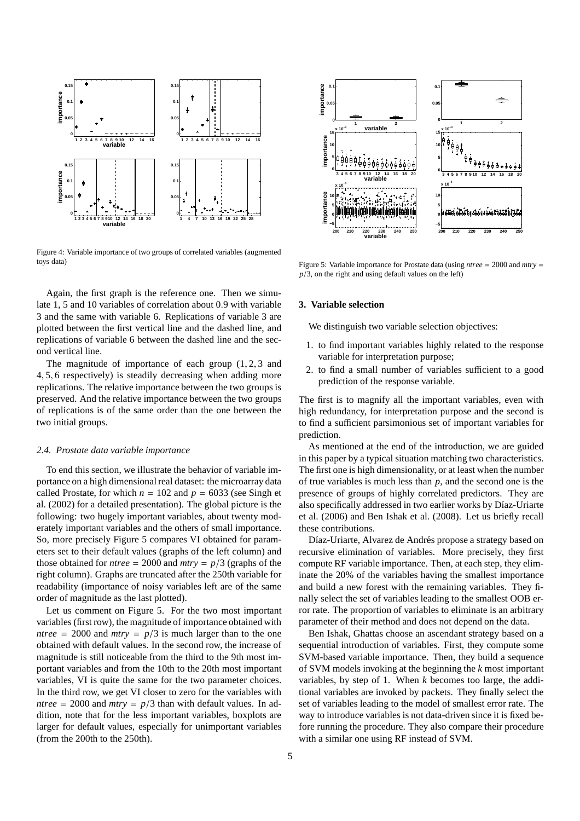

Figure 4: Variable importance of two groups of correlated variables (augmented toys data)

Again, the first graph is the reference one. Then we simulate 1, 5 and 10 variables of correlation about 0.9 with variable 3 and the same with variable 6. Replications of variable 3 are plotted between the first vertical line and the dashed line, and replications of variable 6 between the dashed line and the second vertical line.

The magnitude of importance of each group  $(1, 2, 3)$  and 4, 5, 6 respectively) is steadily decreasing when adding more replications. The relative importance between the two groups is preserved. And the relative importance between the two groups of replications is of the same order than the one between the two initial groups.

#### *2.4. Prostate data variable importance*

To end this section, we illustrate the behavior of variable importance on a high dimensional real dataset: the microarray data called Prostate, for which  $n = 102$  and  $p = 6033$  (see Singh et al. (2002) for a detailed presentation). The global picture is the following: two hugely important variables, about twenty moderately important variables and the others of small importance. So, more precisely Figure 5 compares VI obtained for parameters set to their default values (graphs of the left column) and those obtained for *ntree* = 2000 and *mtry* =  $p/3$  (graphs of the right column). Graphs are truncated after the 250th variable for readability (importance of noisy variables left are of the same order of magnitude as the last plotted).

Let us comment on Figure 5. For the two most important variables (first row), the magnitude of importance obtained with *ntree* = 2000 and  $mtry = p/3$  is much larger than to the one obtained with default values. In the second row, the increase of magnitude is still noticeable from the third to the 9th most important variables and from the 10th to the 20th most important variables, VI is quite the same for the two parameter choices. In the third row, we get VI closer to zero for the variables with *ntree* = 2000 and  $mtry = p/3$  than with default values. In addition, note that for the less important variables, boxplots are larger for default values, especially for unimportant variables (from the 200th to the 250th).



Figure 5: Variable importance for Prostate data (using *ntree* = 2000 and *mtry* =  $p/3$ , on the right and using default values on the left)

# **3. Variable selection**

We distinguish two variable selection objectives:

- 1. to find important variables highly related to the response variable for interpretation purpose;
- 2. to find a small number of variables sufficient to a good prediction of the response variable.

The first is to magnify all the important variables, even with high redundancy, for interpretation purpose and the second is to find a sufficient parsimonious set of important variables for prediction.

As mentioned at the end of the introduction, we are guided in this paper by a typical situation matching two characteristics. The first one is high dimensionality, or at least when the number of true variables is much less than *p*, and the second one is the presence of groups of highly correlated predictors. They are also specifically addressed in two earlier works by Díaz-Uriarte et al. (2006) and Ben Ishak et al. (2008). Let us briefly recall these contributions.

Díaz-Uriarte, Alvarez de Andrés propose a strategy based on recursive elimination of variables. More precisely, they first compute RF variable importance. Then, at each step, they eliminate the 20% of the variables having the smallest importance and build a new forest with the remaining variables. They finally select the set of variables leading to the smallest OOB error rate. The proportion of variables to eliminate is an arbitrary parameter of their method and does not depend on the data.

Ben Ishak, Ghattas choose an ascendant strategy based on a sequential introduction of variables. First, they compute some SVM-based variable importance. Then, they build a sequence of SVM models invoking at the beginning the *k* most important variables, by step of 1. When *k* becomes too large, the additional variables are invoked by packets. They finally select the set of variables leading to the model of smallest error rate. The way to introduce variables is not data-driven since it is fixed before running the procedure. They also compare their procedure with a similar one using RF instead of SVM.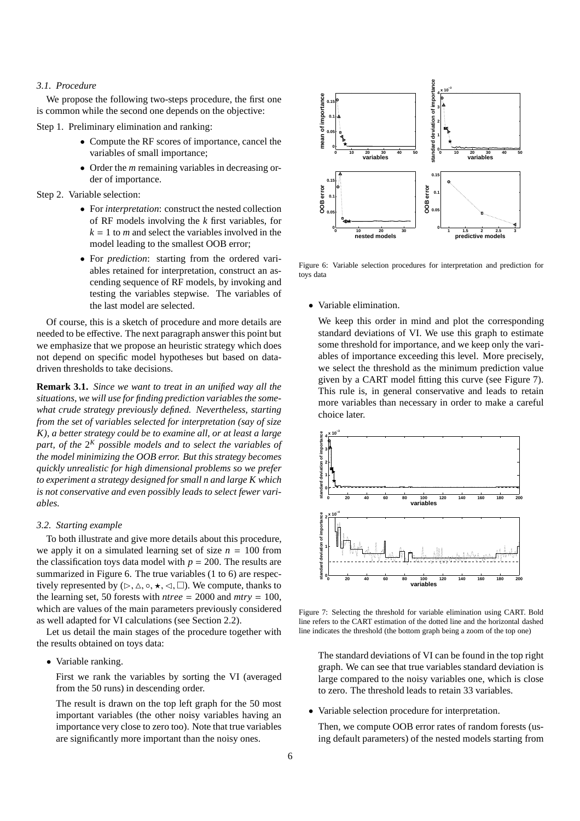# *3.1. Procedure*

We propose the following two-steps procedure, the first one is common while the second one depends on the objective:

Step 1. Preliminary elimination and ranking:

- Compute the RF scores of importance, cancel the variables of small importance;
- Order the *m* remaining variables in decreasing order of importance.

Step 2. Variable selection:

- For *interpretation*: construct the nested collection of RF models involving the *k* first variables, for  $k = 1$  to *m* and select the variables involved in the model leading to the smallest OOB error;
- For *prediction*: starting from the ordered variables retained for interpretation, construct an ascending sequence of RF models, by invoking and testing the variables stepwise. The variables of the last model are selected.

Of course, this is a sketch of procedure and more details are needed to be effective. The next paragraph answer this point but we emphasize that we propose an heuristic strategy which does not depend on specific model hypotheses but based on datadriven thresholds to take decisions.

**Remark 3.1.** *Since we want to treat in an unified way all the situations, we will use for finding prediction variables the somewhat crude strategy previously defined. Nevertheless, starting from the set of variables selected for interpretation (say of size K), a better strategy could be to examine all, or at least a large part, of the* 2 *<sup>K</sup> possible models and to select the variables of the model minimizing the OOB error. But this strategy becomes quickly unrealistic for high dimensional problems so we prefer to experiment a strategy designed for small n and large K which is not conservative and even possibly leads to select fewer variables.*

#### *3.2. Starting example*

To both illustrate and give more details about this procedure, we apply it on a simulated learning set of size  $n = 100$  from the classification toys data model with  $p = 200$ . The results are summarized in Figure 6. The true variables (1 to 6) are respectively represented by  $(\triangleright, \triangle, \circ, \star, \triangleleft, \square)$ . We compute, thanks to the learning set, 50 forests with  $ntree = 2000$  and  $mtry = 100$ , which are values of the main parameters previously considered as well adapted for VI calculations (see Section 2.2).

Let us detail the main stages of the procedure together with the results obtained on toys data:

• Variable ranking.

First we rank the variables by sorting the VI (averaged from the 50 runs) in descending order.

The result is drawn on the top left graph for the 50 most important variables (the other noisy variables having an importance very close to zero too). Note that true variables are significantly more important than the noisy ones.



Figure 6: Variable selection procedures for interpretation and prediction for toys data

• Variable elimination.

We keep this order in mind and plot the corresponding standard deviations of VI. We use this graph to estimate some threshold for importance, and we keep only the variables of importance exceeding this level. More precisely, we select the threshold as the minimum prediction value given by a CART model fitting this curve (see Figure 7). This rule is, in general conservative and leads to retain more variables than necessary in order to make a careful choice later.



Figure 7: Selecting the threshold for variable elimination using CART. Bold line refers to the CART estimation of the dotted line and the horizontal dashed line indicates the threshold (the bottom graph being a zoom of the top one)

The standard deviations of VI can be found in the top right graph. We can see that true variables standard deviation is large compared to the noisy variables one, which is close to zero. The threshold leads to retain 33 variables.

• Variable selection procedure for interpretation.

Then, we compute OOB error rates of random forests (using default parameters) of the nested models starting from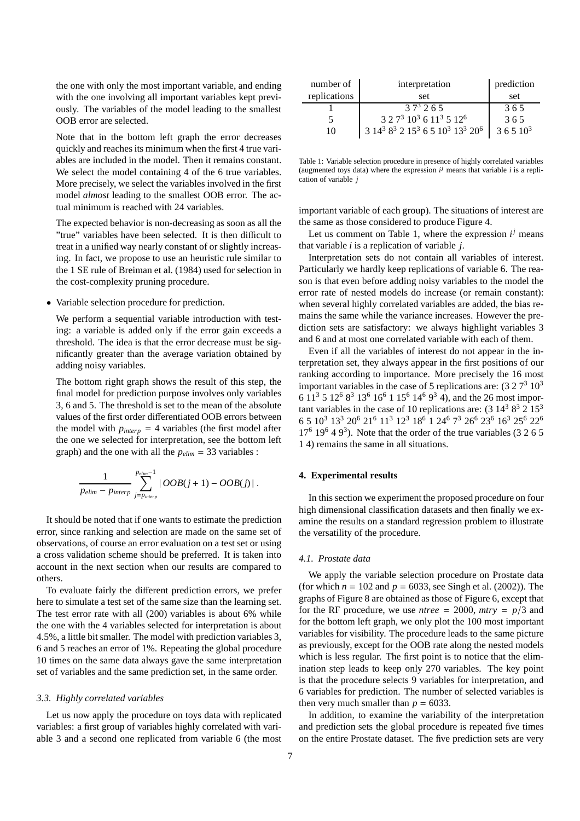the one with only the most important variable, and ending with the one involving all important variables kept previously. The variables of the model leading to the smallest OOB error are selected.

Note that in the bottom left graph the error decreases quickly and reaches its minimum when the first 4 true variables are included in the model. Then it remains constant. We select the model containing 4 of the 6 true variables. More precisely, we select the variables involved in the first model *almost* leading to the smallest OOB error. The actual minimum is reached with 24 variables.

The expected behavior is non-decreasing as soon as all the "true" variables have been selected. It is then difficult to treat in a unified way nearly constant of or slightly increasing. In fact, we propose to use an heuristic rule similar to the 1 SE rule of Breiman et al. (1984) used for selection in the cost-complexity pruning procedure.

• Variable selection procedure for prediction.

We perform a sequential variable introduction with testing: a variable is added only if the error gain exceeds a threshold. The idea is that the error decrease must be significantly greater than the average variation obtained by adding noisy variables.

The bottom right graph shows the result of this step, the final model for prediction purpose involves only variables 3, 6 and 5. The threshold is set to the mean of the absolute values of the first order differentiated OOB errors between the model with  $p_{interp} = 4$  variables (the first model after the one we selected for interpretation, see the bottom left graph) and the one with all the  $p_{elim} = 33$  variables :

$$
\frac{1}{p_{elim} - p_{interp}} \sum_{j=p_{interp}}^{p_{elim}-1} |OOB(j+1) - OOB(j)|.
$$

It should be noted that if one wants to estimate the prediction error, since ranking and selection are made on the same set of observations, of course an error evaluation on a test set or using a cross validation scheme should be preferred. It is taken into account in the next section when our results are compared to others.

To evaluate fairly the different prediction errors, we prefer here to simulate a test set of the same size than the learning set. The test error rate with all (200) variables is about 6% while the one with the 4 variables selected for interpretation is about 4.5%, a little bit smaller. The model with prediction variables 3, 6 and 5 reaches an error of 1%. Repeating the global procedure 10 times on the same data always gave the same interpretation set of variables and the same prediction set, in the same order.

#### *3.3. Highly correlated variables*

Let us now apply the procedure on toys data with replicated variables: a first group of variables highly correlated with variable 3 and a second one replicated from variable 6 (the most

| number of    | interpretation                                                                                         | prediction |
|--------------|--------------------------------------------------------------------------------------------------------|------------|
| replications | set                                                                                                    | set        |
|              | $37^3$ 2.6.5                                                                                           | 365        |
|              | $3.27310361135126$                                                                                     | 365        |
| 10           | 3 14 <sup>3</sup> 8 <sup>3</sup> 2 15 <sup>3</sup> 6 5 10 <sup>3</sup> 13 <sup>3</sup> 20 <sup>6</sup> | $36510^3$  |

Table 1: Variable selection procedure in presence of highly correlated variables (augmented toys data) where the expression  $i^j$  means that variable  $i$  is a replication of variable *j*

important variable of each group). The situations of interest are the same as those considered to produce Figure 4.

Let us comment on Table 1, where the expression  $i^j$  means that variable *i* is a replication of variable *j*.

Interpretation sets do not contain all variables of interest. Particularly we hardly keep replications of variable 6. The reason is that even before adding noisy variables to the model the error rate of nested models do increase (or remain constant): when several highly correlated variables are added, the bias remains the same while the variance increases. However the prediction sets are satisfactory: we always highlight variables 3 and 6 and at most one correlated variable with each of them.

Even if all the variables of interest do not appear in the interpretation set, they always appear in the first positions of our ranking according to importance. More precisely the 16 most important variables in the case of 5 replications are:  $(3\ 2\ 7^3\ 10^3)$ 6 11<sup>3</sup> 5 12<sup>6</sup> 8<sup>3</sup> 13<sup>6</sup> 16<sup>6</sup> 1 15<sup>6</sup> 14<sup>6</sup> 9<sup>3</sup> 4), and the 26 most important variables in the case of 10 replications are:  $(3\ 14^3\ 8^3\ 2\ 15^3)$ 6 5 10<sup>3</sup> 13<sup>3</sup> 20<sup>6</sup> 21<sup>6</sup> 11<sup>3</sup> 12<sup>3</sup> 18<sup>6</sup> 1 24<sup>6</sup> 7 <sup>3</sup> 26<sup>6</sup> 23<sup>6</sup> 16<sup>3</sup> 25<sup>6</sup> 22<sup>6</sup>  $17<sup>6</sup> 19<sup>6</sup> 4 9<sup>3</sup>$ ). Note that the order of the true variables (3 2 6 5 1 4) remains the same in all situations.

# **4. Experimental results**

In this section we experiment the proposed procedure on four high dimensional classification datasets and then finally we examine the results on a standard regression problem to illustrate the versatility of the procedure.

# *4.1. Prostate data*

We apply the variable selection procedure on Prostate data (for which  $n = 102$  and  $p = 6033$ , see Singh et al. (2002)). The graphs of Figure 8 are obtained as those of Figure 6, except that for the RF procedure, we use *ntree* = 2000,  $mtry = p/3$  and for the bottom left graph, we only plot the 100 most important variables for visibility. The procedure leads to the same picture as previously, except for the OOB rate along the nested models which is less regular. The first point is to notice that the elimination step leads to keep only 270 variables. The key point is that the procedure selects 9 variables for interpretation, and 6 variables for prediction. The number of selected variables is then very much smaller than  $p = 6033$ .

In addition, to examine the variability of the interpretation and prediction sets the global procedure is repeated five times on the entire Prostate dataset. The five prediction sets are very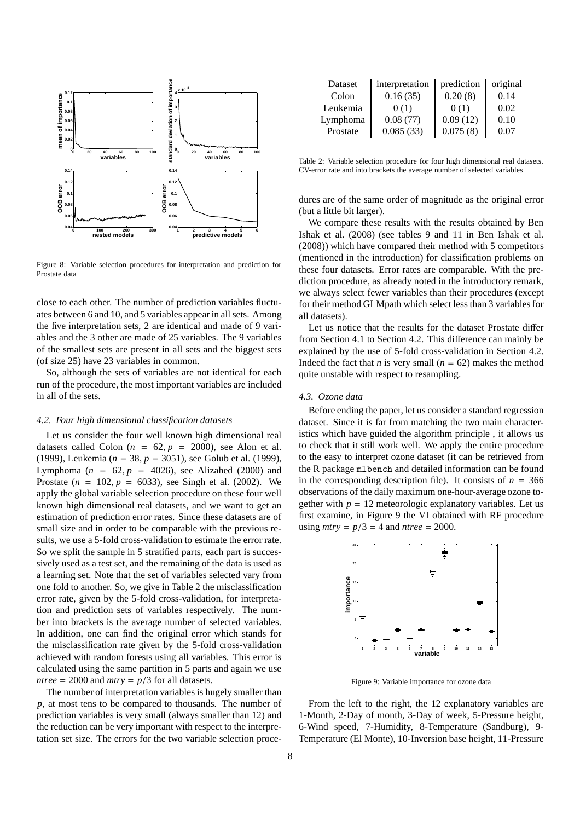

Figure 8: Variable selection procedures for interpretation and prediction for Prostate data

close to each other. The number of prediction variables fluctuates between 6 and 10, and 5 variables appear in all sets. Among the five interpretation sets, 2 are identical and made of 9 variables and the 3 other are made of 25 variables. The 9 variables of the smallest sets are present in all sets and the biggest sets (of size 25) have 23 variables in common.

So, although the sets of variables are not identical for each run of the procedure, the most important variables are included in all of the sets.

# *4.2. Four high dimensional classification datasets*

Let us consider the four well known high dimensional real datasets called Colon  $(n = 62, p = 2000)$ , see Alon et al. (1999), Leukemia (*n* = 38, *p* = 3051), see Golub et al. (1999), Lymphoma ( $n = 62$ ,  $p = 4026$ ), see Alizahed (2000) and Prostate  $(n = 102, p = 6033)$ , see Singh et al. (2002). We apply the global variable selection procedure on these four well known high dimensional real datasets, and we want to get an estimation of prediction error rates. Since these datasets are of small size and in order to be comparable with the previous results, we use a 5-fold cross-validation to estimate the error rate. So we split the sample in 5 stratified parts, each part is successively used as a test set, and the remaining of the data is used as a learning set. Note that the set of variables selected vary from one fold to another. So, we give in Table 2 the misclassification error rate, given by the 5-fold cross-validation, for interpretation and prediction sets of variables respectively. The number into brackets is the average number of selected variables. In addition, one can find the original error which stands for the misclassification rate given by the 5-fold cross-validation achieved with random forests using all variables. This error is calculated using the same partition in 5 parts and again we use *ntree* = 2000 and *mtry* =  $p/3$  for all datasets.

The number of interpretation variables is hugely smaller than *p*, at most tens to be compared to thousands. The number of prediction variables is very small (always smaller than 12) and the reduction can be very important with respect to the interpretation set size. The errors for the two variable selection proce-

| Dataset  | interpretation | prediction | original |
|----------|----------------|------------|----------|
| Colon    | 0.16(35)       | 0.20(8)    | 0.14     |
| Leukemia | 0(1)           | 0(1)       | 0.02     |
| Lymphoma | 0.08(77)       | 0.09(12)   | 0.10     |
| Prostate | 0.085(33)      | 0.075(8)   | 0.07     |

Table 2: Variable selection procedure for four high dimensional real datasets. CV-error rate and into brackets the average number of selected variables

dures are of the same order of magnitude as the original error (but a little bit larger).

We compare these results with the results obtained by Ben Ishak et al. (2008) (see tables 9 and 11 in Ben Ishak et al. (2008)) which have compared their method with 5 competitors (mentioned in the introduction) for classification problems on these four datasets. Error rates are comparable. With the prediction procedure, as already noted in the introductory remark, we always select fewer variables than their procedures (except for their method GLMpath which select less than 3 variables for all datasets).

Let us notice that the results for the dataset Prostate differ from Section 4.1 to Section 4.2. This difference can mainly be explained by the use of 5-fold cross-validation in Section 4.2. Indeed the fact that *n* is very small  $(n = 62)$  makes the method quite unstable with respect to resampling.

#### *4.3. Ozone data*

Before ending the paper, let us consider a standard regression dataset. Since it is far from matching the two main characteristics which have guided the algorithm principle , it allows us to check that it still work well. We apply the entire procedure to the easy to interpret ozone dataset (it can be retrieved from the R package mlbench and detailed information can be found in the corresponding description file). It consists of  $n = 366$ observations of the daily maximum one-hour-average ozone together with  $p = 12$  meteorologic explanatory variables. Let us first examine, in Figure 9 the VI obtained with RF procedure using  $mtry = p/3 = 4$  and  $ntree = 2000$ .



Figure 9: Variable importance for ozone data

From the left to the right, the 12 explanatory variables are 1-Month, 2-Day of month, 3-Day of week, 5-Pressure height, 6-Wind speed, 7-Humidity, 8-Temperature (Sandburg), 9- Temperature (El Monte), 10-Inversion base height, 11-Pressure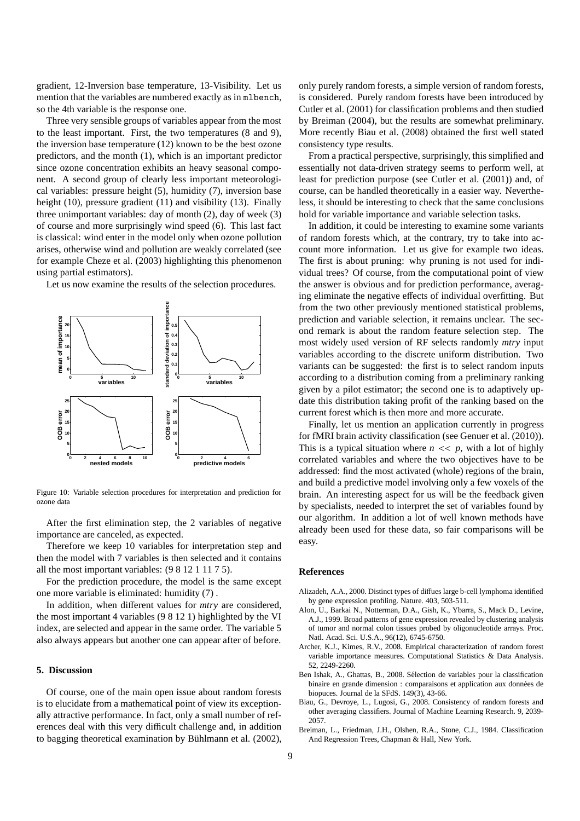gradient, 12-Inversion base temperature, 13-Visibility. Let us mention that the variables are numbered exactly as in mlbench, so the 4th variable is the response one.

Three very sensible groups of variables appear from the most to the least important. First, the two temperatures (8 and 9), the inversion base temperature (12) known to be the best ozone predictors, and the month (1), which is an important predictor since ozone concentration exhibits an heavy seasonal component. A second group of clearly less important meteorological variables: pressure height (5), humidity (7), inversion base height (10), pressure gradient (11) and visibility (13). Finally three unimportant variables: day of month (2), day of week (3) of course and more surprisingly wind speed (6). This last fact is classical: wind enter in the model only when ozone pollution arises, otherwise wind and pollution are weakly correlated (see for example Cheze et al. (2003) highlighting this phenomenon using partial estimators).

Let us now examine the results of the selection procedures.



Figure 10: Variable selection procedures for interpretation and prediction for ozone data

After the first elimination step, the 2 variables of negative importance are canceled, as expected.

Therefore we keep 10 variables for interpretation step and then the model with 7 variables is then selected and it contains all the most important variables: (9 8 12 1 11 7 5).

For the prediction procedure, the model is the same except one more variable is eliminated: humidity (7) .

In addition, when different values for *mtry* are considered, the most important 4 variables (9 8 12 1) highlighted by the VI index, are selected and appear in the same order. The variable 5 also always appears but another one can appear after of before.

# **5. Discussion**

Of course, one of the main open issue about random forests is to elucidate from a mathematical point of view its exceptionally attractive performance. In fact, only a small number of references deal with this very difficult challenge and, in addition to bagging theoretical examination by Bühlmann et al. (2002), only purely random forests, a simple version of random forests, is considered. Purely random forests have been introduced by Cutler et al. (2001) for classification problems and then studied by Breiman (2004), but the results are somewhat preliminary. More recently Biau et al. (2008) obtained the first well stated consistency type results.

From a practical perspective, surprisingly, this simplified and essentially not data-driven strategy seems to perform well, at least for prediction purpose (see Cutler et al. (2001)) and, of course, can be handled theoretically in a easier way. Nevertheless, it should be interesting to check that the same conclusions hold for variable importance and variable selection tasks.

In addition, it could be interesting to examine some variants of random forests which, at the contrary, try to take into account more information. Let us give for example two ideas. The first is about pruning: why pruning is not used for individual trees? Of course, from the computational point of view the answer is obvious and for prediction performance, averaging eliminate the negative effects of individual overfitting. But from the two other previously mentioned statistical problems, prediction and variable selection, it remains unclear. The second remark is about the random feature selection step. The most widely used version of RF selects randomly *mtry* input variables according to the discrete uniform distribution. Two variants can be suggested: the first is to select random inputs according to a distribution coming from a preliminary ranking given by a pilot estimator; the second one is to adaptively update this distribution taking profit of the ranking based on the current forest which is then more and more accurate.

Finally, let us mention an application currently in progress for fMRI brain activity classification (see Genuer et al. (2010)). This is a typical situation where  $n \ll p$ , with a lot of highly correlated variables and where the two objectives have to be addressed: find the most activated (whole) regions of the brain, and build a predictive model involving only a few voxels of the brain. An interesting aspect for us will be the feedback given by specialists, needed to interpret the set of variables found by our algorithm. In addition a lot of well known methods have already been used for these data, so fair comparisons will be easy.

# **References**

- Alizadeh, A.A., 2000. Distinct types of diffues large b-cell lymphoma identified by gene expression profiling. Nature. 403, 503-511.
- Alon, U., Barkai N., Notterman, D.A., Gish, K., Ybarra, S., Mack D., Levine, A.J., 1999. Broad patterns of gene expression revealed by clustering analysis of tumor and normal colon tissues probed by oligonucleotide arrays. Proc. Natl. Acad. Sci. U.S.A., 96(12), 6745-6750.
- Archer, K.J., Kimes, R.V., 2008. Empirical characterization of random forest variable importance measures. Computational Statistics & Data Analysis. 52, 2249-2260.
- Ben Ishak, A., Ghattas, B., 2008. Sélection de variables pour la classification binaire en grande dimension : comparaisons et application aux données de biopuces. Journal de la SFdS. 149(3), 43-66.
- Biau, G., Devroye, L., Lugosi, G., 2008. Consistency of random forests and other averaging classifiers. Journal of Machine Learning Research. 9, 2039- 2057.
- Breiman, L., Friedman, J.H., Olshen, R.A., Stone, C.J., 1984. Classification And Regression Trees, Chapman & Hall, New York.